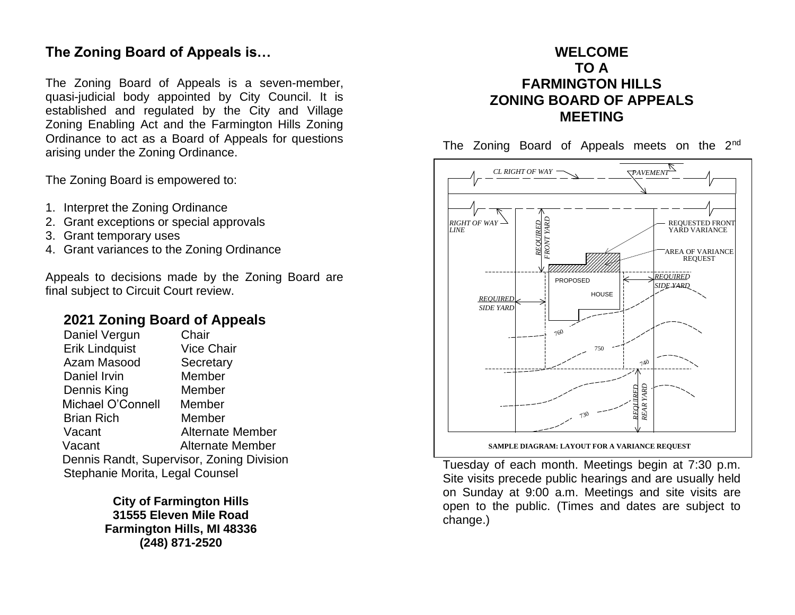# **The Zoning Board of Appeals is…**

The Zoning Board of Appeals is a seven-member, quasi-judicial body appointed by City Council. It is established and regulated by the City and Village Zoning Enabling Act and the Farmington Hills Zoning Ordinance to act as a Board of Appeals for questions arising under the Zoning Ordinance.

The Zoning Board is empowered to:

- 1. Interpret the Zoning Ordinance
- 2. Grant exceptions or special approvals
- 3. Grant temporary uses
- 4. Grant variances to the Zoning Ordinance

Appeals to decisions made by the Zoning Board are final subject to Circuit Court review.

## **2021 Zoning Board of Appeals**

Daniel Vergun Chair Erik Lindquist Vice Chair Azam Masood Secretary Daniel Irvin Member Dennis King **Member**  Michael O'Connell Member Brian Rich Member Vacant Alternate Member Vacant Alternate Member Dennis Randt, Supervisor, Zoning Division Stephanie Morita, Legal Counsel

> **City of Farmington Hills 31555 Eleven Mile Road Farmington Hills, MI 48336 (248) 871-2520**

### **WELCOME TO A FARMINGTON HILLS ZONING BOARD OF APPEALS MEETING**

The Zoning Board of Appeals meets on the 2<sup>nd</sup>



**SAMPLE DIAGRAM: LAYOUT FOR A VARIANCE REQUEST**

Tuesday of each month. Meetings begin at 7:30 p.m. Site visits precede public hearings and are usually held on Sunday at 9:00 a.m. Meetings and site visits are open to the public. (Times and dates are subject to change.)